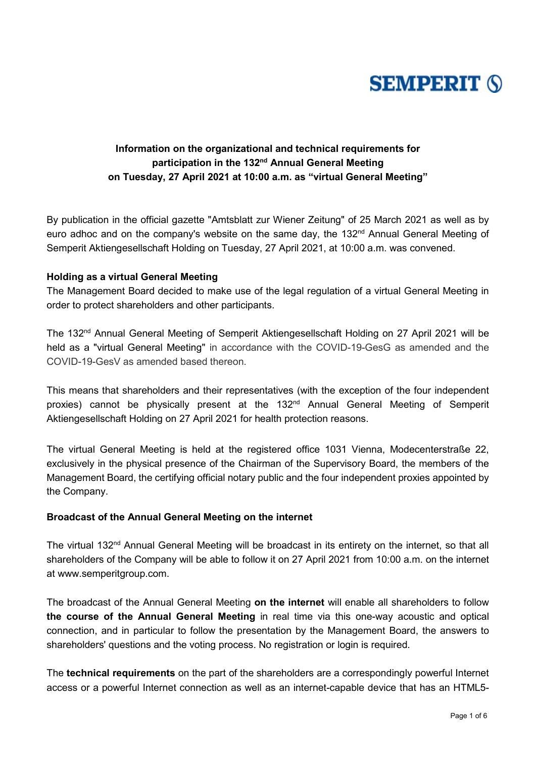

## **Information on the organizational and technical requirements for participation in the 132nd Annual General Meeting on Tuesday, 27 April 2021 at 10:00 a.m. as "virtual General Meeting"**

By publication in the official gazette "Amtsblatt zur Wiener Zeitung" of 25 March 2021 as well as by euro adhoc and on the company's website on the same day, the 132<sup>nd</sup> Annual General Meeting of Semperit Aktiengesellschaft Holding on Tuesday, 27 April 2021, at 10:00 a.m. was convened.

#### **Holding as a virtual General Meeting**

The Management Board decided to make use of the legal regulation of a virtual General Meeting in order to protect shareholders and other participants.

The 132nd Annual General Meeting of Semperit Aktiengesellschaft Holding on 27 April 2021 will be held as a "virtual General Meeting" in accordance with the COVID-19-GesG as amended and the COVID-19-GesV as amended based thereon.

This means that shareholders and their representatives (with the exception of the four independent proxies) cannot be physically present at the 132<sup>nd</sup> Annual General Meeting of Semperit Aktiengesellschaft Holding on 27 April 2021 for health protection reasons.

The virtual General Meeting is held at the registered office 1031 Vienna, Modecenterstraße 22, exclusively in the physical presence of the Chairman of the Supervisory Board, the members of the Management Board, the certifying official notary public and the four independent proxies appointed by the Company.

### **Broadcast of the Annual General Meeting on the internet**

The virtual 132<sup>nd</sup> Annual General Meeting will be broadcast in its entirety on the internet, so that all shareholders of the Company will be able to follow it on 27 April 2021 from 10:00 a.m. on the internet at www.semperitgroup.com.

The broadcast of the Annual General Meeting **on the internet** will enable all shareholders to follow **the course of the Annual General Meeting** in real time via this one-way acoustic and optical connection, and in particular to follow the presentation by the Management Board, the answers to shareholders' questions and the voting process. No registration or login is required.

The **technical requirements** on the part of the shareholders are a correspondingly powerful Internet access or a powerful Internet connection as well as an internet-capable device that has an HTML5-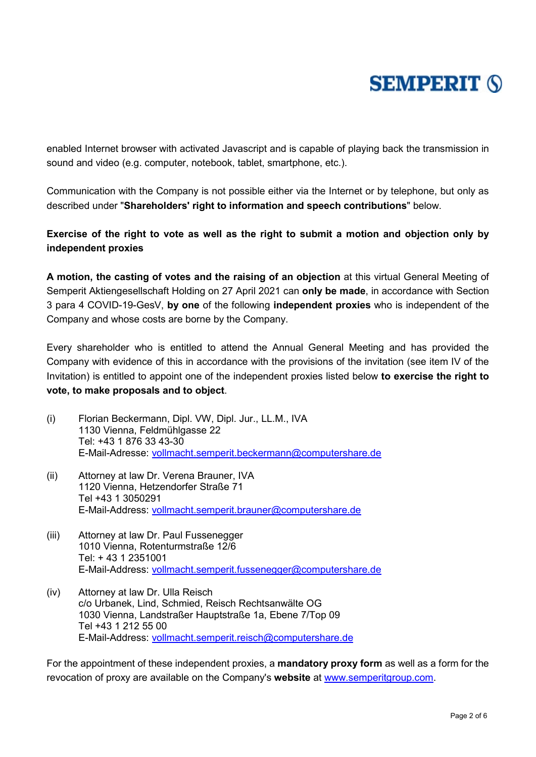## **SEMPERIT (S)**

enabled Internet browser with activated Javascript and is capable of playing back the transmission in sound and video (e.g. computer, notebook, tablet, smartphone, etc.).

Communication with the Company is not possible either via the Internet or by telephone, but only as described under "**Shareholders' right to information and speech contributions**" below.

### **Exercise of the right to vote as well as the right to submit a motion and objection only by independent proxies**

**A motion, the casting of votes and the raising of an objection** at this virtual General Meeting of Semperit Aktiengesellschaft Holding on 27 April 2021 can **only be made**, in accordance with Section 3 para 4 COVID-19-GesV, **by one** of the following **independent proxies** who is independent of the Company and whose costs are borne by the Company.

Every shareholder who is entitled to attend the Annual General Meeting and has provided the Company with evidence of this in accordance with the provisions of the invitation (see item IV of the Invitation) is entitled to appoint one of the independent proxies listed below **to exercise the right to vote, to make proposals and to object**.

- (i) Florian Beckermann, Dipl. VW, Dipl. Jur., LL.M., IVA 1130 Vienna, Feldmühlgasse 22 Tel: +43 1 876 33 43-30 E-Mail-Adresse: [vollmacht.semperit.beckermann@computershare.de](mailto:vollmacht.semperit.beckermann@computershare.de)
- (ii) Attorney at law Dr. Verena Brauner, IVA 1120 Vienna, Hetzendorfer Straße 71 Tel +43 1 3050291 E-Mail-Address: [vollmacht.semperit.brauner@computershare.de](mailto:vollmacht.semperit.brauner@computershare.de)
- (iii) Attorney at law Dr. Paul Fussenegger 1010 Vienna, Rotenturmstraße 12/6 Tel: + 43 1 2351001 E-Mail-Address: [vollmacht.semperit.fussenegger@computershare.de](mailto:vollmacht.semperit.fussenegger@computershare.de)
- (iv) Attorney at law Dr. Ulla Reisch c/o Urbanek, Lind, Schmied, Reisch Rechtsanwälte OG 1030 Vienna, Landstraßer Hauptstraße 1a, Ebene 7/Top 09 Tel +43 1 212 55 00 E-Mail-Address: [vollmacht.semperit.reisch@computershare.de](mailto:vollmacht.semperit.reisch@computershare.de)

For the appointment of these independent proxies, a **mandatory proxy form** as well as a form for the revocation of proxy are available on the Company's **website** at [www.semperitgroup.com.](http://www.semperitgroup.com/)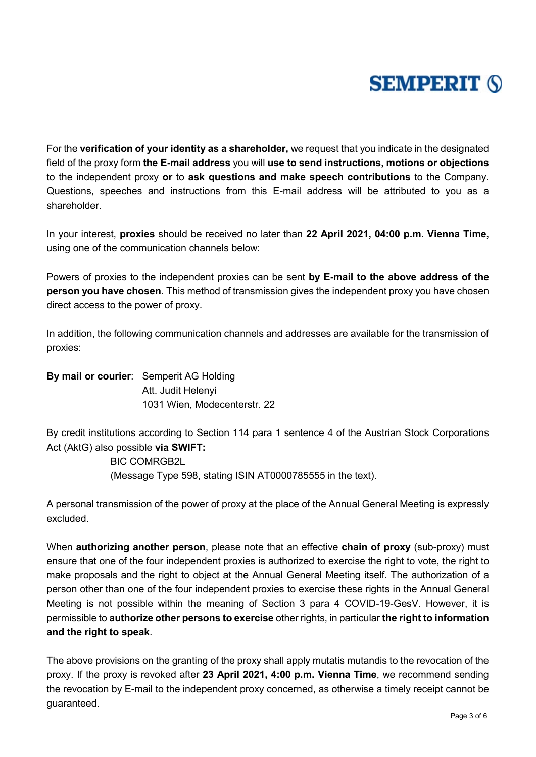# **SEMPERIT (S)**

For the **verification of your identity as a shareholder,** we request that you indicate in the designated field of the proxy form **the E-mail address** you will **use to send instructions, motions or objections** to the independent proxy **or** to **ask questions and make speech contributions** to the Company. Questions, speeches and instructions from this E-mail address will be attributed to you as a shareholder.

In your interest, **proxies** should be received no later than **22 April 2021, 04:00 p.m. Vienna Time,** using one of the communication channels below:

Powers of proxies to the independent proxies can be sent **by E-mail to the above address of the person you have chosen**. This method of transmission gives the independent proxy you have chosen direct access to the power of proxy.

In addition, the following communication channels and addresses are available for the transmission of proxies:

**By mail or courier**: Semperit AG Holding Att. Judit Helenyi 1031 Wien, Modecenterstr. 22

By credit institutions according to Section 114 para 1 sentence 4 of the Austrian Stock Corporations Act (AktG) also possible **via SWIFT:**

> BIC COMRGB2L (Message Type 598, stating ISIN AT0000785555 in the text).

A personal transmission of the power of proxy at the place of the Annual General Meeting is expressly excluded.

When **authorizing another person**, please note that an effective **chain of proxy** (sub-proxy) must ensure that one of the four independent proxies is authorized to exercise the right to vote, the right to make proposals and the right to object at the Annual General Meeting itself. The authorization of a person other than one of the four independent proxies to exercise these rights in the Annual General Meeting is not possible within the meaning of Section 3 para 4 COVID-19-GesV. However, it is permissible to **authorize other persons to exercise** other rights, in particular **the right to information and the right to speak**.

The above provisions on the granting of the proxy shall apply mutatis mutandis to the revocation of the proxy. If the proxy is revoked after **23 April 2021, 4:00 p.m. Vienna Time**, we recommend sending the revocation by E-mail to the independent proxy concerned, as otherwise a timely receipt cannot be guaranteed.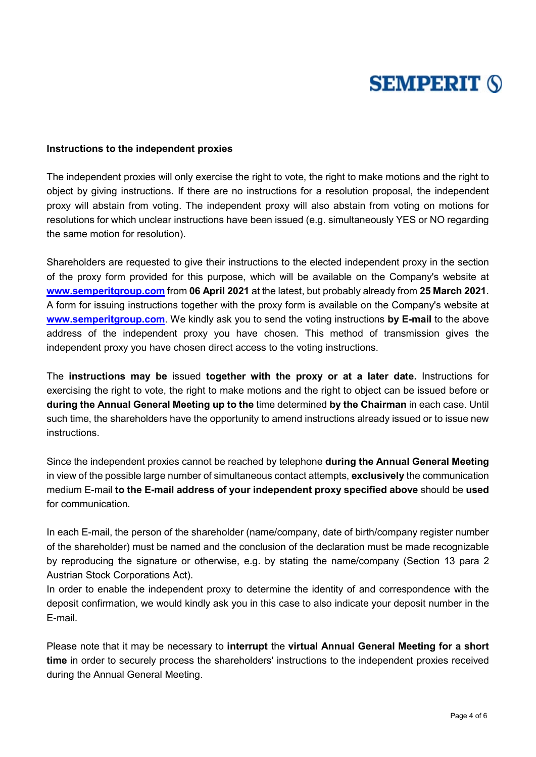# **SEMPERIT (S)**

#### **Instructions to the independent proxies**

The independent proxies will only exercise the right to vote, the right to make motions and the right to object by giving instructions. If there are no instructions for a resolution proposal, the independent proxy will abstain from voting. The independent proxy will also abstain from voting on motions for resolutions for which unclear instructions have been issued (e.g. simultaneously YES or NO regarding the same motion for resolution).

Shareholders are requested to give their instructions to the elected independent proxy in the section of the proxy form provided for this purpose, which will be available on the Company's website at **[www.semperitgroup.com](http://www.semperitgroup.com/)** from **06 April 2021** at the latest, but probably already from **25 March 2021**. A form for issuing instructions together with the proxy form is available on the Company's website at **[www.semperitgroup.com](http://www.semperitgroup.com/)**. We kindly ask you to send the voting instructions **by E-mail** to the above address of the independent proxy you have chosen. This method of transmission gives the independent proxy you have chosen direct access to the voting instructions.

The **instructions may be** issued **together with the proxy or at a later date.** Instructions for exercising the right to vote, the right to make motions and the right to object can be issued before or **during the Annual General Meeting up to the** time determined **by the Chairman** in each case. Until such time, the shareholders have the opportunity to amend instructions already issued or to issue new instructions.

Since the independent proxies cannot be reached by telephone **during the Annual General Meeting**  in view of the possible large number of simultaneous contact attempts, **exclusively** the communication medium E-mail **to the E-mail address of your independent proxy specified above** should be **used** for communication.

In each E-mail, the person of the shareholder (name/company, date of birth/company register number of the shareholder) must be named and the conclusion of the declaration must be made recognizable by reproducing the signature or otherwise, e.g. by stating the name/company (Section 13 para 2 Austrian Stock Corporations Act).

In order to enable the independent proxy to determine the identity of and correspondence with the deposit confirmation, we would kindly ask you in this case to also indicate your deposit number in the E-mail.

Please note that it may be necessary to **interrupt** the **virtual Annual General Meeting for a short time** in order to securely process the shareholders' instructions to the independent proxies received during the Annual General Meeting.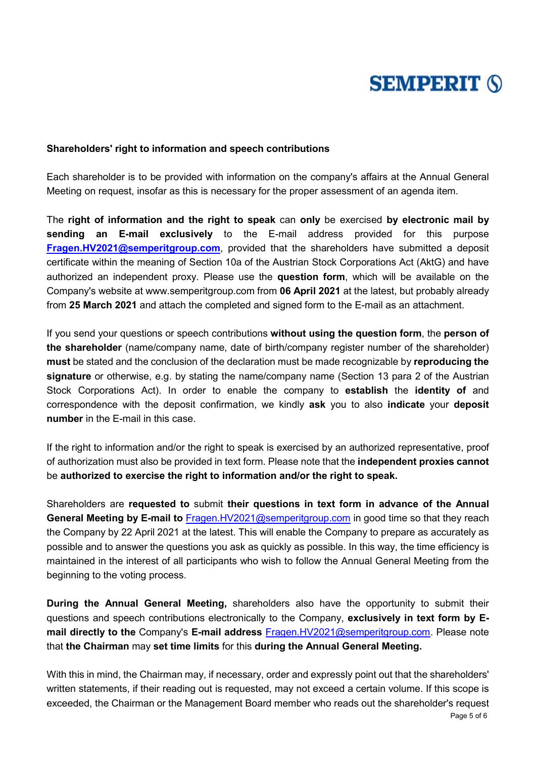

#### **Shareholders' right to information and speech contributions**

Each shareholder is to be provided with information on the company's affairs at the Annual General Meeting on request, insofar as this is necessary for the proper assessment of an agenda item.

The **right of information and the right to speak** can **only** be exercised **by electronic mail by sending an E-mail exclusively** to the E-mail address provided for this purpose **[Fragen.HV2021@semperitgroup.com](mailto:Fragen.HV2021@semperitgroup.com)**, provided that the shareholders have submitted a deposit certificate within the meaning of Section 10a of the Austrian Stock Corporations Act (AktG) and have authorized an independent proxy. Please use the **question form**, which will be available on the Company's website at www.semperitgroup.com from **06 April 2021** at the latest, but probably already from **25 March 2021** and attach the completed and signed form to the E-mail as an attachment.

If you send your questions or speech contributions **without using the question form**, the **person of the shareholder** (name/company name, date of birth/company register number of the shareholder) **must** be stated and the conclusion of the declaration must be made recognizable by **reproducing the signature** or otherwise, e.g. by stating the name/company name (Section 13 para 2 of the Austrian Stock Corporations Act). In order to enable the company to **establish** the **identity of** and correspondence with the deposit confirmation, we kindly **ask** you to also **indicate** your **deposit number** in the E-mail in this case.

If the right to information and/or the right to speak is exercised by an authorized representative, proof of authorization must also be provided in text form. Please note that the **independent proxies cannot** be **authorized to exercise the right to information and/or the right to speak.**

Shareholders are **requested to** submit **their questions in text form in advance of the Annual General Meeting by E-mail to** [Fragen.HV2021@semperitgroup.com](mailto:Fragen.HV2021@semperitgroup.com) in good time so that they reach the Company by 22 April 2021 at the latest. This will enable the Company to prepare as accurately as possible and to answer the questions you ask as quickly as possible. In this way, the time efficiency is maintained in the interest of all participants who wish to follow the Annual General Meeting from the beginning to the voting process.

**During the Annual General Meeting,** shareholders also have the opportunity to submit their questions and speech contributions electronically to the Company, **exclusively in text form by Email directly to the** Company's **E-mail address** [Fragen.HV2021@semperitgroup.com.](mailto:Fragen.HV2021@semperitgroup.com) Please note that **the Chairman** may **set time limits** for this **during the Annual General Meeting.** 

With this in mind, the Chairman may, if necessary, order and expressly point out that the shareholders' written statements, if their reading out is requested, may not exceed a certain volume. If this scope is exceeded, the Chairman or the Management Board member who reads out the shareholder's request